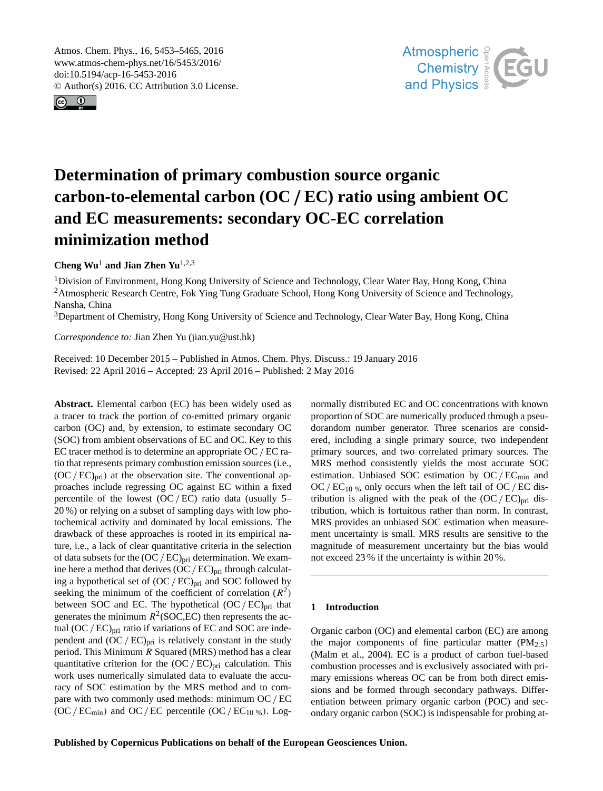<span id="page-0-1"></span>Atmos. Chem. Phys., 16, 5453–5465, 2016 www.atmos-chem-phys.net/16/5453/2016/ doi:10.5194/acp-16-5453-2016 © Author(s) 2016. CC Attribution 3.0 License.





# **Determination of primary combustion source organic carbon-to-elemental carbon (OC** /**EC) ratio using ambient OC and EC measurements: secondary OC-EC correlation minimization method**

**Cheng Wu**[1](#page-0-0) **and Jian Zhen Yu**[1,2,3](#page-0-0)

<sup>1</sup>Division of Environment, Hong Kong University of Science and Technology, Clear Water Bay, Hong Kong, China <sup>2</sup>Atmospheric Research Centre, Fok Ying Tung Graduate School, Hong Kong University of Science and Technology, Nansha, China

<sup>3</sup>Department of Chemistry, Hong Kong University of Science and Technology, Clear Water Bay, Hong Kong, China

*Correspondence to:* Jian Zhen Yu (jian.yu@ust.hk)

Received: 10 December 2015 – Published in Atmos. Chem. Phys. Discuss.: 19 January 2016 Revised: 22 April 2016 – Accepted: 23 April 2016 – Published: 2 May 2016

<span id="page-0-0"></span>**Abstract.** Elemental carbon (EC) has been widely used as a tracer to track the portion of co-emitted primary organic carbon (OC) and, by extension, to estimate secondary OC (SOC) from ambient observations of EC and OC. Key to this EC tracer method is to determine an appropriate OC / EC ratio that represents primary combustion emission sources (i.e.,  $(OC/EC)_{\text{pri}}$  at the observation site. The conventional approaches include regressing OC against EC within a fixed percentile of the lowest  $(OC/EC)$  ratio data (usually 5– 20 %) or relying on a subset of sampling days with low photochemical activity and dominated by local emissions. The drawback of these approaches is rooted in its empirical nature, i.e., a lack of clear quantitative criteria in the selection of data subsets for the  $(OC/EC)_{pri}$  determination. We examine here a method that derives  $(OC/EC)_{pri}$  through calculating a hypothetical set of  $(OC/EC)_{pri}$  and SOC followed by seeking the minimum of the coefficient of correlation  $(R^2)$ between SOC and EC. The hypothetical  $(OC/EC)_{pri}$  that generates the minimum  $R^2$ (SOC,EC) then represents the actual  $(OC/EC)_{pri}$  ratio if variations of EC and SOC are independent and  $(OC/EC)_{pri}$  is relatively constant in the study period. This Minimum R Squared (MRS) method has a clear quantitative criterion for the  $(OC/EC)_{pri}$  calculation. This work uses numerically simulated data to evaluate the accuracy of SOC estimation by the MRS method and to compare with two commonly used methods: minimum OC/ EC  $(OC/EC_{min})$  and  $OC/EC$  percentile  $(OC/EC_{10\%})$ . Lognormally distributed EC and OC concentrations with known proportion of SOC are numerically produced through a pseudorandom number generator. Three scenarios are considered, including a single primary source, two independent primary sources, and two correlated primary sources. The MRS method consistently yields the most accurate SOC estimation. Unbiased SOC estimation by  $OC/EC_{min}$  and OC/ $EC_{10\%}$  only occurs when the left tail of OC/EC distribution is aligned with the peak of the  $(OC/EC)_{pri}$  distribution, which is fortuitous rather than norm. In contrast, MRS provides an unbiased SOC estimation when measurement uncertainty is small. MRS results are sensitive to the magnitude of measurement uncertainty but the bias would not exceed 23 % if the uncertainty is within 20 %.

# **1 Introduction**

Organic carbon (OC) and elemental carbon (EC) are among the major components of fine particular matter  $(PM<sub>2.5</sub>)$ (Malm et al., 2004). EC is a product of carbon fuel-based combustion processes and is exclusively associated with primary emissions whereas OC can be from both direct emissions and be formed through secondary pathways. Differentiation between primary organic carbon (POC) and secondary organic carbon (SOC) is indispensable for probing at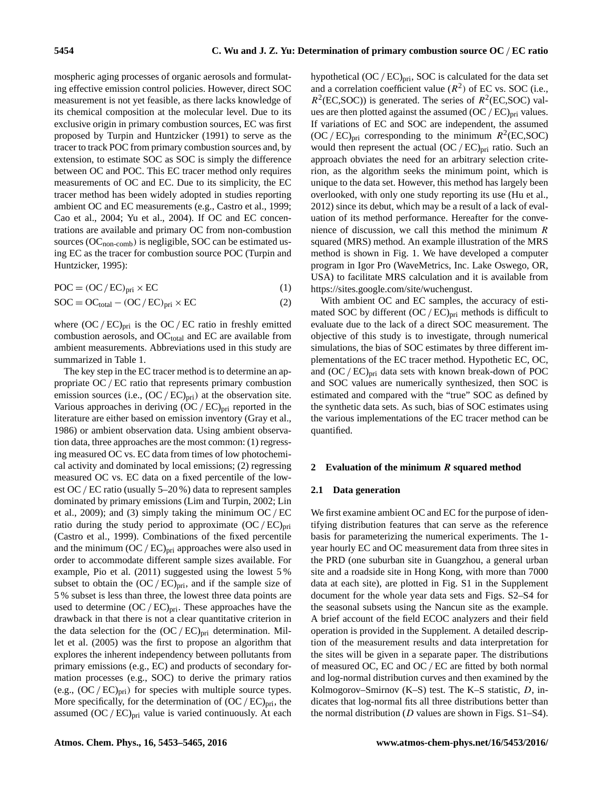mospheric aging processes of organic aerosols and formulating effective emission control policies. However, direct SOC measurement is not yet feasible, as there lacks knowledge of its chemical composition at the molecular level. Due to its exclusive origin in primary combustion sources, EC was first proposed by Turpin and Huntzicker (1991) to serve as the tracer to track POC from primary combustion sources and, by extension, to estimate SOC as SOC is simply the difference between OC and POC. This EC tracer method only requires measurements of OC and EC. Due to its simplicity, the EC tracer method has been widely adopted in studies reporting ambient OC and EC measurements (e.g., Castro et al., 1999; Cao et al., 2004; Yu et al., 2004). If OC and EC concentrations are available and primary OC from non-combustion sources (OC<sub>non-comb</sub>) is negligible, SOC can be estimated using EC as the tracer for combustion source POC (Turpin and Huntzicker, 1995):

$$
POC = (OC/EC)_{\text{pri}} \times EC
$$
 (1)

$$
SOC = OC_{\text{total}} - (OC/EC)_{\text{pri}} \times EC
$$
 (2)

where  $(OC/EC)_{pri}$  is the OC/EC ratio in freshly emitted combustion aerosols, and  $OC<sub>total</sub>$  and  $EC$  are available from ambient measurements. Abbreviations used in this study are summarized in Table 1.

The key step in the EC tracer method is to determine an appropriate OC / EC ratio that represents primary combustion emission sources (i.e.,  $(OC/EC)_{pri}$ ) at the observation site. Various approaches in deriving  $(OC/EC)_{pri}$  reported in the literature are either based on emission inventory (Gray et al., 1986) or ambient observation data. Using ambient observation data, three approaches are the most common: (1) regressing measured OC vs. EC data from times of low photochemical activity and dominated by local emissions; (2) regressing measured OC vs. EC data on a fixed percentile of the lowest OC/ EC ratio (usually 5–20 %) data to represent samples dominated by primary emissions (Lim and Turpin, 2002; Lin et al., 2009); and (3) simply taking the minimum  $OC/EC$ ratio during the study period to approximate  $(OC/EC)_{pri}$ (Castro et al., 1999). Combinations of the fixed percentile and the minimum  $(OC/EC)_{pri}$  approaches were also used in order to accommodate different sample sizes available. For example, Pio et al. (2011) suggested using the lowest 5 % subset to obtain the  $(OC/EC)_{pri}$ , and if the sample size of 5 % subset is less than three, the lowest three data points are used to determine  $(OC/EC)_{pri}$ . These approaches have the drawback in that there is not a clear quantitative criterion in the data selection for the  $(OC/EC)_{pri}$  determination. Millet et al. (2005) was the first to propose an algorithm that explores the inherent independency between pollutants from primary emissions (e.g., EC) and products of secondary formation processes (e.g., SOC) to derive the primary ratios (e.g.,  $(OC/EC)_{pri}$ ) for species with multiple source types. More specifically, for the determination of  $(OC/EC)_{pri}$ , the assumed  $(OC/EC)_{pri}$  value is varied continuously. At each

hypothetical  $(OC/EC)_{pri}$ , SOC is calculated for the data set and a correlation coefficient value  $(R^2)$  of EC vs. SOC (i.e.,  $R^2$ (EC,SOC)) is generated. The series of  $R^2$ (EC,SOC) values are then plotted against the assumed  $(OC/EC)_{pri}$  values. If variations of EC and SOC are independent, the assumed  $(OC / EC)_{\text{pri}}$  corresponding to the minimum  $R^2$ (EC,SOC) would then represent the actual  $(OC/EC)_{pri}$  ratio. Such an approach obviates the need for an arbitrary selection criterion, as the algorithm seeks the minimum point, which is unique to the data set. However, this method has largely been overlooked, with only one study reporting its use (Hu et al., 2012) since its debut, which may be a result of a lack of evaluation of its method performance. Hereafter for the convenience of discussion, we call this method the minimum  $$ squared (MRS) method. An example illustration of the MRS method is shown in Fig. 1. We have developed a computer program in Igor Pro (WaveMetrics, Inc. Lake Oswego, OR, USA) to facilitate MRS calculation and it is available from [https://sites.google.com/site/wuchengust.](https://sites.google.com/site/wuchengust)

With ambient OC and EC samples, the accuracy of estimated SOC by different  $(OC/EC)_{pri}$  methods is difficult to evaluate due to the lack of a direct SOC measurement. The objective of this study is to investigate, through numerical simulations, the bias of SOC estimates by three different implementations of the EC tracer method. Hypothetic EC, OC, and  $(OC/EC)_{pri}$  data sets with known break-down of POC and SOC values are numerically synthesized, then SOC is estimated and compared with the "true" SOC as defined by the synthetic data sets. As such, bias of SOC estimates using the various implementations of the EC tracer method can be quantified.

## **2 Evaluation of the minimum** R **squared method**

#### **2.1 Data generation**

We first examine ambient OC and EC for the purpose of identifying distribution features that can serve as the reference basis for parameterizing the numerical experiments. The 1 year hourly EC and OC measurement data from three sites in the PRD (one suburban site in Guangzhou, a general urban site and a roadside site in Hong Kong, with more than 7000 data at each site), are plotted in Fig. S1 in the Supplement document for the whole year data sets and Figs. S2–S4 for the seasonal subsets using the Nancun site as the example. A brief account of the field ECOC analyzers and their field operation is provided in the Supplement. A detailed description of the measurement results and data interpretation for the sites will be given in a separate paper. The distributions of measured OC, EC and OC / EC are fitted by both normal and log-normal distribution curves and then examined by the Kolmogorov–Smirnov (K–S) test. The K–S statistic, D, indicates that log-normal fits all three distributions better than the normal distribution ( $D$  values are shown in Figs. S1–S4).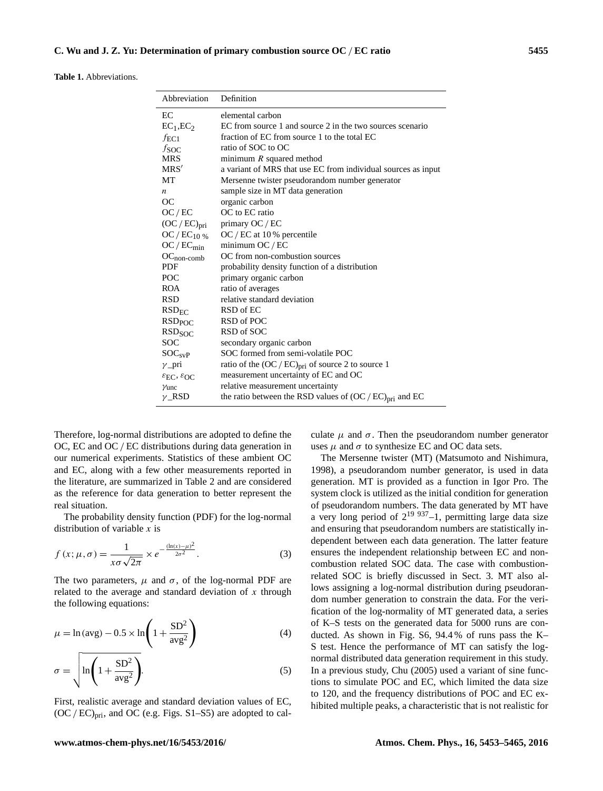**Table 1.** Abbreviations.

| Abbreviation                                          | Definition                                                    |  |  |  |  |
|-------------------------------------------------------|---------------------------------------------------------------|--|--|--|--|
| EC                                                    | elemental carbon                                              |  |  |  |  |
| $EC_1, EC_2$                                          | EC from source 1 and source 2 in the two sources scenario     |  |  |  |  |
| $f_{\text{EC1}}$                                      | fraction of EC from source 1 to the total EC                  |  |  |  |  |
| f <sub>SOC</sub>                                      | ratio of SOC to OC                                            |  |  |  |  |
| <b>MRS</b>                                            | minimum $R$ squared method                                    |  |  |  |  |
| MRS'                                                  | a variant of MRS that use EC from individual sources as input |  |  |  |  |
| MT                                                    | Mersenne twister pseudorandom number generator                |  |  |  |  |
| n                                                     | sample size in MT data generation                             |  |  |  |  |
| <b>OC</b>                                             | organic carbon                                                |  |  |  |  |
| OC/EC                                                 | OC to EC ratio                                                |  |  |  |  |
| $(OC/EC)_{pri}$                                       | primary OC / EC                                               |  |  |  |  |
| OC / $EC_{10\%}$                                      | $OC / EC$ at 10% percentile                                   |  |  |  |  |
| $OC/EC_{min}$                                         | minimum $OC/EC$                                               |  |  |  |  |
| $OC_{non-comb}$                                       | OC from non-combustion sources                                |  |  |  |  |
| <b>PDF</b>                                            | probability density function of a distribution                |  |  |  |  |
| <b>POC</b>                                            | primary organic carbon                                        |  |  |  |  |
| <b>ROA</b>                                            | ratio of averages                                             |  |  |  |  |
| <b>RSD</b>                                            | relative standard deviation                                   |  |  |  |  |
| $RSD_{EC}$                                            | RSD of EC                                                     |  |  |  |  |
| <b>RSD<sub>POC</sub></b>                              | RSD of POC                                                    |  |  |  |  |
| RSD <sub>SOC</sub>                                    | RSD of SOC                                                    |  |  |  |  |
| <b>SOC</b>                                            | secondary organic carbon                                      |  |  |  |  |
| SOC <sub>svP</sub>                                    | SOC formed from semi-volatile POC                             |  |  |  |  |
| $\gamma$ _pri                                         | ratio of the $(OC / EC)_{pri}$ of source 2 to source 1        |  |  |  |  |
| $\varepsilon_{\text{EC}}$ , $\varepsilon_{\text{OC}}$ | measurement uncertainty of EC and OC                          |  |  |  |  |
| $\gamma$ unc                                          | relative measurement uncertainty                              |  |  |  |  |
| $\nu$ RSD                                             | the ratio between the RSD values of $(OC/EC)_{pri}$ and EC    |  |  |  |  |

Therefore, log-normal distributions are adopted to define the OC, EC and OC / EC distributions during data generation in our numerical experiments. Statistics of these ambient OC and EC, along with a few other measurements reported in the literature, are summarized in Table 2 and are considered as the reference for data generation to better represent the real situation.

The probability density function (PDF) for the log-normal distribution of variable  $x$  is

$$
f(x; \mu, \sigma) = \frac{1}{x\sigma\sqrt{2\pi}} \times e^{-\frac{(\ln(x) - \mu)^2}{2\sigma^2}}.
$$
 (3)

The two parameters,  $\mu$  and  $\sigma$ , of the log-normal PDF are related to the average and standard deviation of  $x$  through the following equations:

$$
\mu = \ln(\text{avg}) - 0.5 \times \ln\left(1 + \frac{\text{SD}^2}{\text{avg}^2}\right)
$$
 (4)

$$
\sigma = \sqrt{\ln\left(1 + \frac{\text{SD}^2}{\text{avg}^2}\right)}.
$$
\n(5)

First, realistic average and standard deviation values of EC,  $(OC/EC)_{pri}$ , and OC (e.g. Figs. S1–S5) are adopted to calculate  $\mu$  and  $\sigma$ . Then the pseudorandom number generator uses  $\mu$  and  $\sigma$  to synthesize EC and OC data sets.

The Mersenne twister (MT) (Matsumoto and Nishimura, 1998), a pseudorandom number generator, is used in data generation. MT is provided as a function in Igor Pro. The system clock is utilized as the initial condition for generation of pseudorandom numbers. The data generated by MT have a very long period of  $2^{19}$   $9^{37}-1$ , permitting large data size and ensuring that pseudorandom numbers are statistically independent between each data generation. The latter feature ensures the independent relationship between EC and noncombustion related SOC data. The case with combustionrelated SOC is briefly discussed in Sect. 3. MT also allows assigning a log-normal distribution during pseudorandom number generation to constrain the data. For the verification of the log-normality of MT generated data, a series of K–S tests on the generated data for 5000 runs are conducted. As shown in Fig. S6, 94.4 % of runs pass the K– S test. Hence the performance of MT can satisfy the lognormal distributed data generation requirement in this study. In a previous study, Chu (2005) used a variant of sine functions to simulate POC and EC, which limited the data size to 120, and the frequency distributions of POC and EC exhibited multiple peaks, a characteristic that is not realistic for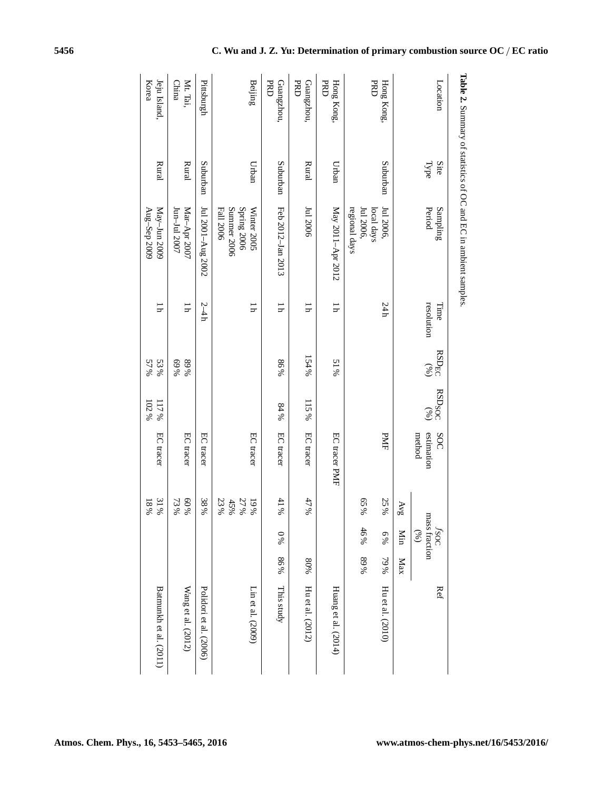|                          |              | <b>Table 2.</b> Summary of statistics of OC and EC in ambient samples. |                           |                   |                                  |                             |                               |                                      |     |                        |
|--------------------------|--------------|------------------------------------------------------------------------|---------------------------|-------------------|----------------------------------|-----------------------------|-------------------------------|--------------------------------------|-----|------------------------|
| Location                 | Type<br>Site | Period<br>Sampling                                                     | resolution<br>Time        | $RSD_{EC}$<br>(%) | <b>RSD<sub>SOC</sub></b><br>(96) | estimation<br>SOC<br>method |                               | <i>fsoc</i><br>mass fraction<br>(96) |     | Ref                    |
|                          |              |                                                                        |                           |                   |                                  |                             | $\Delta \mathrm{Vg}$          | Min                                  | Max |                        |
| Hong Kong,               | Suburban     | Jul 2006,                                                              | 24h                       |                   |                                  | PMF                         | 25%                           | 6%                                   | 79% | Hu et al. (2010)       |
| <b>PRD</b>               |              | regional days<br>Jul 2006,<br>local days                               |                           |                   |                                  |                             | 65%                           | 46%                                  | 89% |                        |
| Hong Kong.<br><b>PRD</b> | Urban        | May 2011-Apr 2012                                                      | $\overline{\mathsf{I}}$   | % IS              |                                  | EC tracer PMF               |                               |                                      |     | Huang et al. (2014)    |
| <b>PRD</b><br>Guangzhou, | Rural        | Jul 2006                                                               | Ξ                         | 154%              | 115%                             | EC tracer                   | 47%                           |                                      | 80% | Hu et al. (2012)       |
| <b>PRD</b><br>Guangzhou, | Suburban     | Feb 2012-Jan 2013                                                      | $\overline{\mathfrak{u}}$ | 86%               | 84%                              | EC tracer                   | $41%$                         | % 0                                  | 86% | This study             |
| Beijing                  | Urban        | Spring 2006<br>Summer 2006<br>Fall 2006<br>Winter 2005                 | $\overline{11}$           |                   |                                  | EC tracer                   | $23\,\%$<br>27%<br>45%<br>19% |                                      |     | Lin et al. (2009)      |
| Pittsburgh               | Suburban     | Jul 2001-Aug 2002                                                      | $2-4h$                    |                   |                                  | EC tracer                   | 38%                           |                                      |     | Polidori et al. (2006) |
| Mt. Tai,<br>China        | Rural        | Jun-Jul 2007<br>Mar-Apr 2007                                           | ΙÌ                        | %68<br>%69        |                                  | EC tracer                   | 60%<br>73%                    |                                      |     | Wang et al. (2012)     |
| Jeju Island,<br>Korea    | Rural        | May-Jun 2009<br>Aug-Sep 2009                                           | ųī                        | 57%<br>53%        | 102%<br>117%                     | EC tracer                   | 31%<br>18%                    |                                      |     | Batmunkh et al. (2011) |

**Atmos. Chem. Phys., 16, 5453[–5465,](#page-0-1) 2016 www.atmos-chem-phys.net/16/5453/2016/**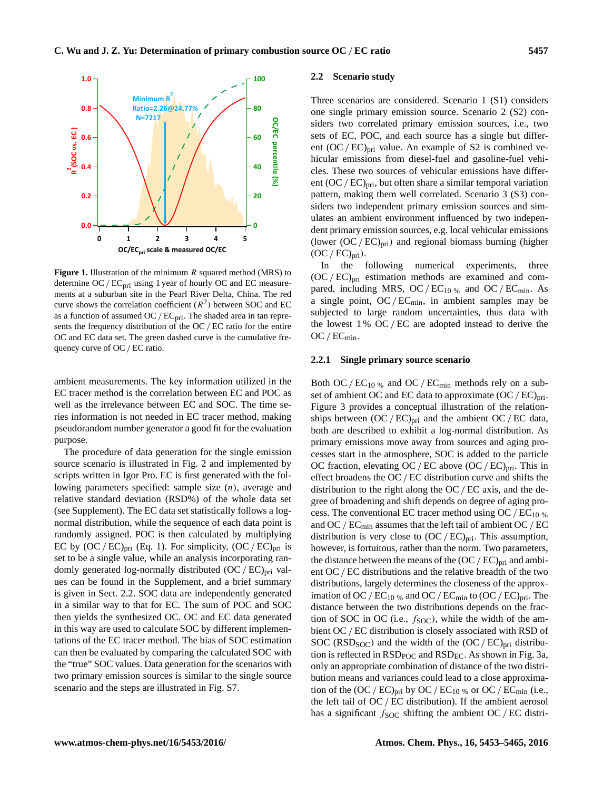

**Figure 1.** Illustration of the minimum R squared method (MRS) to determine  $OC/EC<sub>pri</sub>$  using 1 year of hourly OC and EC measurements at a suburban site in the Pearl River Delta, China. The red curve shows the correlation coefficient  $(R^2)$  between SOC and EC as a function of assumed  $OC/EC_{pri}$ . The shaded area in tan represents the frequency distribution of the OC / EC ratio for the entire OC and EC data set. The green dashed curve is the cumulative frequency curve of OC/ EC ratio.

ambient measurements. The key information utilized in the EC tracer method is the correlation between EC and POC as well as the irrelevance between EC and SOC. The time series information is not needed in EC tracer method, making pseudorandom number generator a good fit for the evaluation purpose.

The procedure of data generation for the single emission source scenario is illustrated in Fig. 2 and implemented by scripts written in Igor Pro. EC is first generated with the following parameters specified: sample size (n), average and relative standard deviation (RSD%) of the whole data set (see Supplement). The EC data set statistically follows a lognormal distribution, while the sequence of each data point is randomly assigned. POC is then calculated by multiplying EC by  $(OC/EC)_{pri}$  (Eq. 1). For simplicity,  $(OC/EC)_{pri}$  is set to be a single value, while an analysis incorporating randomly generated log-normally distributed  $(OC/EC)_{pri}$  values can be found in the Supplement, and a brief summary is given in Sect. 2.2. SOC data are independently generated in a similar way to that for EC. The sum of POC and SOC then yields the synthesized OC. OC and EC data generated in this way are used to calculate SOC by different implementations of the EC tracer method. The bias of SOC estimation can then be evaluated by comparing the calculated SOC with the "true" SOC values. Data generation for the scenarios with two primary emission sources is similar to the single source scenario and the steps are illustrated in Fig. S7.

### **2.2 Scenario study**

Three scenarios are considered. Scenario 1 (S1) considers one single primary emission source. Scenario 2 (S2) considers two correlated primary emission sources, i.e., two sets of EC, POC, and each source has a single but different  $(OC/EC)_{pri}$  value. An example of S2 is combined vehicular emissions from diesel-fuel and gasoline-fuel vehicles. These two sources of vehicular emissions have different  $(OC/EC)_{\text{pri}}$ , but often share a similar temporal variation pattern, making them well correlated. Scenario 3 (S3) considers two independent primary emission sources and simulates an ambient environment influenced by two independent primary emission sources, e.g. local vehicular emissions (lower  $(OC/EC)_{\text{pri}}$ ) and regional biomass burning (higher  $(OC/EC)_{pri}$ ).

In the following numerical experiments, three  $(OC / EC)_{pri}$  estimation methods are examined and compared, including MRS, OC /  $EC_{10\%}$  and OC /  $EC_{min}$ . As a single point,  $OC/EC_{min}$ , in ambient samples may be subjected to large random uncertainties, thus data with the lowest  $1\%$  OC / EC are adopted instead to derive the  $OC/EC_{min}$ .

#### **2.2.1 Single primary source scenario**

has a significant  $f_{\text{SOC}}$  shifting the ambient OC/EC distri-Both OC /  $EC_{10\%}$  and OC /  $EC_{min}$  methods rely on a subset of ambient OC and EC data to approximate  $(OC/EC)_{\text{pri}}$ . Figure 3 provides a conceptual illustration of the relationships between  $(OC/EC)_{pri}$  and the ambient  $OC/EC$  data, both are described to exhibit a log-normal distribution. As primary emissions move away from sources and aging processes start in the atmosphere, SOC is added to the particle OC fraction, elevating OC / EC above  $(OC / EC)_{pri}$ . This in effect broadens the OC / EC distribution curve and shifts the distribution to the right along the OC / EC axis, and the degree of broadening and shift depends on degree of aging process. The conventional EC tracer method using OC /  $EC_{10\%}$ and OC /  $EC<sub>min</sub>$  assumes that the left tail of ambient OC /  $EC$ distribution is very close to  $(OC/EC)_{pri}$ . This assumption, however, is fortuitous, rather than the norm. Two parameters, the distance between the means of the  $(OC/EC)_{pri}$  and ambient OC / EC distributions and the relative breadth of the two distributions, largely determines the closeness of the approximation of OC /  $EC_{10\%}$  and OC /  $EC_{min}$  to (OC /  $EC_{pri}$ . The distance between the two distributions depends on the fraction of SOC in OC (i.e.,  $f_{\text{SOC}}$ ), while the width of the ambient OC/ EC distribution is closely associated with RSD of SOC ( $RSD<sub>SOC</sub>$ ) and the width of the  $(OC/EC)<sub>pri</sub>$  distribution is reflected in  $\text{RSD}_{\text{POC}}$  and  $\text{RSD}_{\text{EC}}$ . As shown in Fig. 3a, only an appropriate combination of distance of the two distribution means and variances could lead to a close approximation of the  $(OC/EC)_{pri}$  by  $OC/EC_{10}$  % or  $OC/EC_{min}$  (i.e., the left tail of  $OC/EC$  distribution). If the ambient aerosol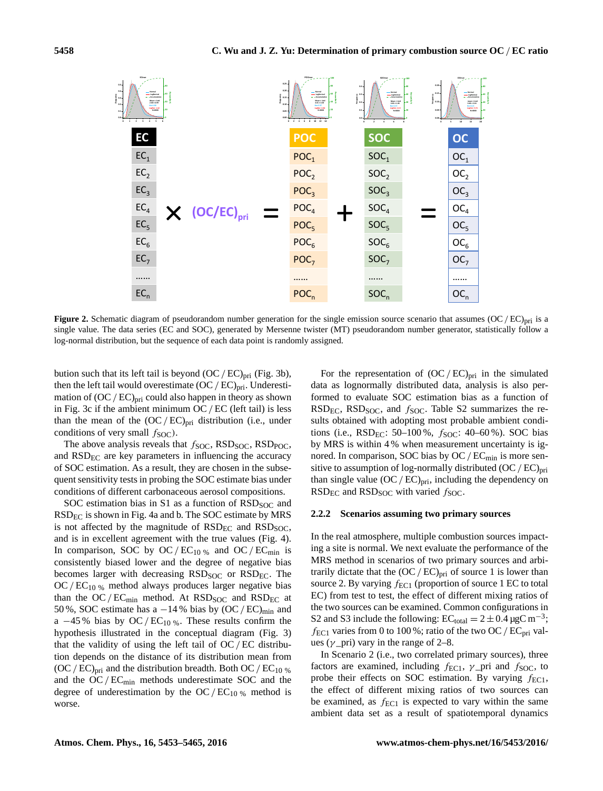

**Figure 2.** Schematic diagram of pseudorandom number generation for the single emission source scenario that assumes  $(OC/EC)_{\text{pri}}$  is a single value. The data series (EC and SOC), generated by Mersenne twister (MT) pseudorandom number generator, statistically follow a log-normal distribution, but the sequence of each data point is randomly assigned.

bution such that its left tail is beyond  $(OC/EC)_{pri}$  (Fig. 3b), then the left tail would overestimate  $(OC/EC)_{\text{pri}}$ . Underestimation of  $(OC/EC)_{pri}$  could also happen in theory as shown in Fig. 3c if the ambient minimum  $OC/EC$  (left tail) is less than the mean of the  $(OC/EC)_{pri}$  distribution (i.e., under conditions of very small  $f_{\text{SOC}}$ ).

The above analysis reveals that  $f_{\text{SOC}}$ , RSD<sub>SOC</sub>, RSD<sub>POC</sub>, and  $RSD<sub>EC</sub>$  are key parameters in influencing the accuracy of SOC estimation. As a result, they are chosen in the subsequent sensitivity tests in probing the SOC estimate bias under conditions of different carbonaceous aerosol compositions.

SOC estimation bias in S1 as a function of  $RSD<sub>SOC</sub>$  and  $RSD<sub>EC</sub>$  is shown in Fig. 4a and b. The SOC estimate by MRS is not affected by the magnitude of  $RSD<sub>EC</sub>$  and  $RSD<sub>SOC</sub>$ , and is in excellent agreement with the true values (Fig. 4). In comparison, SOC by  $OC/EC_{10\%}$  and  $OC/EC_{min}$  is consistently biased lower and the degree of negative bias becomes larger with decreasing RSD<sub>SOC</sub> or RSD<sub>EC</sub>. The  $OC/EC_{10\%}$  method always produces larger negative bias than the  $OC/EC_{min}$  method. At  $RSD<sub>SOC</sub>$  and  $RSD<sub>EC</sub>$  at 50 %, SOC estimate has a  $-14$ % bias by (OC/EC)<sub>min</sub> and a  $-45\%$  bias by OC/EC<sub>10 %</sub>. These results confirm the hypothesis illustrated in the conceptual diagram (Fig. 3) that the validity of using the left tail of  $OC/EC$  distribution depends on the distance of its distribution mean from  $(OC/EC)_{\text{pri}}$  and the distribution breadth. Both OC/EC<sub>10 %</sub> and the  $OC/EC_{min}$  methods underestimate SOC and the degree of underestimation by the OC/ $EC_{10\%}$  method is worse.

For the representation of  $(OC/EC)_{pri}$  in the simulated data as lognormally distributed data, analysis is also performed to evaluate SOC estimation bias as a function of  $RSD_{EC}$ ,  $RSD_{SOC}$ , and  $f_{SOC}$ . Table S2 summarizes the results obtained with adopting most probable ambient conditions (i.e.,  $RSD_{EC}$ : 50-100%,  $f_{SOC}$ : 40-60%). SOC bias by MRS is within 4 % when measurement uncertainty is ignored. In comparison, SOC bias by  $OC / EC<sub>min</sub>$  is more sensitive to assumption of log-normally distributed  $(OC/EC)_{pri}$ than single value  $(OC/EC)_{pri}$ , including the dependency on  $RSD_{EC}$  and  $RSD_{SOC}$  with varied  $f_{SOC}$ .

# **2.2.2 Scenarios assuming two primary sources**

In the real atmosphere, multiple combustion sources impacting a site is normal. We next evaluate the performance of the MRS method in scenarios of two primary sources and arbitrarily dictate that the  $(OC/EC)_{pri}$  of source 1 is lower than source 2. By varying  $f_{EC1}$  (proportion of source 1 EC to total EC) from test to test, the effect of different mixing ratios of the two sources can be examined. Common configurations in S2 and S3 include the following:  $EC_{total} = 2 \pm 0.4 \,\mu gC \,\text{m}^{-3}$ ;  $f_{EC1}$  varies from 0 to 100%; ratio of the two OC /  $EC_{pri}$  values ( $\gamma$  pri) vary in the range of 2–8.

2 the effect of different mixing ratios of two sources can In Scenario 2 (i.e., two correlated primary sources), three factors are examined, including  $f_{\text{EC1}}$ ,  $\gamma$  pri and  $f_{\text{SOC}}$ , to probe their effects on SOC estimation. By varying  $f_{EC1}$ , be examined, as  $f_{EC1}$  is expected to vary within the same ambient data set as a result of spatiotemporal dynamics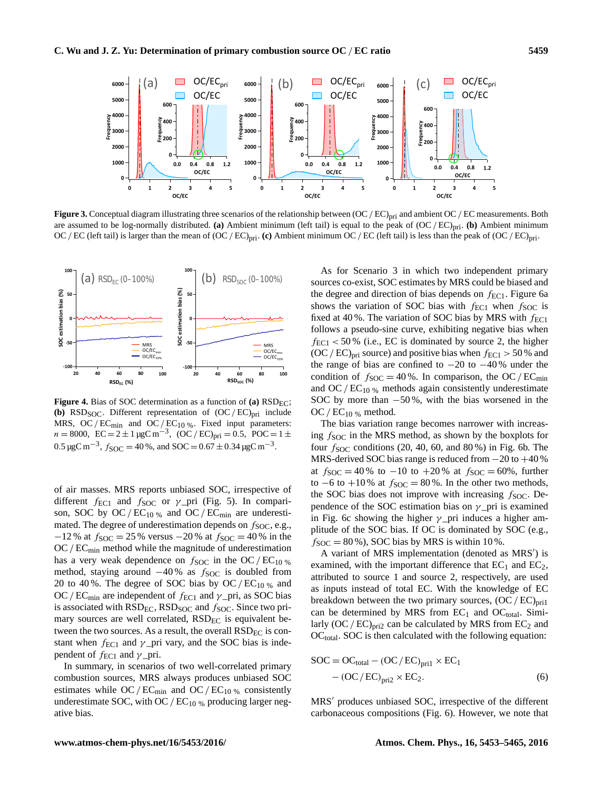

 are assumed to be log-normally distributed. **(a)** Ambient minimum (left tail) is equal to the peak of (OC/ EC)pri. **(b)** Ambient minimum **Figure 3.** Conceptual diagram illustrating three scenarios of the relationship between  $(OC/EC)_{\text{pri}}$  and ambient  $OC/EC$  measurements. Both OC/EC (left tail) is larger than the mean of  $(OC/EC)_{pri}$ . (c) Ambient minimum OC/EC (left tail) is less than the peak of  $(OC/EC)_{pri}$ .



**Figure 4.** Bias of SOC determination as a function of **(a)**  $RSD_{EC}$ ; **(b)** RSD<sub>SOC</sub>. Different representation of  $(OC/EC)_{pri}$  include MRS, OC/EC<sub>min</sub> and OC/EC<sub>10 %</sub>. Fixed input parameters:  $n = 8000$ ,  $EC = 2 \pm 1 \,\mu gC \,\text{m}^{-3}$ ,  $\overline{OC}/\overline{EC}$ <sub>pri</sub> = 0.5,  $\overline{POC} = 1 \pm \frac{1}{2}$ 0.5 μgC m<sup>-3</sup>,  $f_{SOC}$  = 40 %, and SOC = 0.67 ± 0.34 μgC m<sup>-3</sup>.

of air masses. MRS reports unbiased SOC, irrespective of different  $f_{EC1}$  and  $f_{SOC}$  or  $\gamma$ -pri (Fig. 5). In comparison, SOC by OC/ $EC_{10\%}$  and OC/ $EC_{\text{min}}$  are underestimated. The degree of underestimation depends on  $f_{\text{SOC}}$ , e.g., −12 % at  $f_{\text{SOC}}$  = 25 % versus −20 % at  $f_{\text{SOC}}$  = 40 % in the  $OC/EC<sub>min</sub>$  method while the magnitude of underestimation has a very weak dependence on  $f_{\text{SOC}}$  in the OC/EC<sub>10 %</sub> method, staying around  $-40\%$  as  $f_{SOC}$  is doubled from 20 to 40%. The degree of SOC bias by OC/ $EC_{10\%}$  and OC/EC<sub>min</sub> are independent of  $f_{EC1}$  and  $\gamma$ <sub>prin</sub> as SOC bias is associated with  $\text{RSD}_{\text{EC}}$ ,  $\text{RSD}_{\text{SOC}}$  and  $f_{\text{SOC}}$ . Since two primary sources are well correlated,  $RSD_{EC}$  is equivalent between the two sources. As a result, the overall  $RSD<sub>EC</sub>$  is constant when  $f_{EC1}$  and  $\gamma$  pri vary, and the SOC bias is independent of  $f_{EC1}$  and  $\gamma$  pri.

In summary, in scenarios of two well-correlated primary combustion sources, MRS always produces unbiased SOC estimates while  $OC/EC_{min}$  and  $OC/EC_{10\%}$  consistently underestimate SOC, with OC /  $EC_{10\%}$  producing larger negative bias.

As for Scenario 3 in which two independent primary sources co-exist, SOC estimates by MRS could be biased and the degree and direction of bias depends on  $f_{EC1}$ . Figure 6a shows the variation of SOC bias with  $f_{EC1}$  when  $f_{SOC}$  is fixed at 40 %. The variation of SOC bias by MRS with  $f_{\text{EC1}}$ follows a pseudo-sine curve, exhibiting negative bias when  $f_{EC1}$  < 50 % (i.e., EC is dominated by source 2, the higher  $(OC / EC)_{\text{pri}}$  source) and positive bias when  $f_{\text{EC1}} > 50\%$  and the range of bias are confined to  $-20$  to  $-40\%$  under the condition of  $f_{\text{SOC}} = 40\%$ . In comparison, the OC/EC<sub>min</sub> and OC /  $EC_{10\%}$  methods again consistently underestimate SOC by more than  $-50\%$ , with the bias worsened in the OC /  $EC_{10\%}$  method.

The bias variation range becomes narrower with increasing  $f_{\text{SOC}}$  in the MRS method, as shown by the boxplots for four  $f_{\text{SOC}}$  conditions (20, 40, 60, and 80%) in Fig. 6b. The MRS-derived SOC bias range is reduced from −20 to +40 % at  $f_{\text{SOC}} = 40\%$  to  $-10$  to  $+20\%$  at  $f_{\text{SOC}} = 60\%$ , further to  $-6$  to  $+10\%$  at  $f_{SOC} = 80\%$ . In the other two methods, the SOC bias does not improve with increasing  $f_{\text{SOC}}$ . Dependence of the SOC estimation bias on  $\gamma$  pri is examined in Fig. 6c showing the higher  $\gamma$  pri induces a higher amplitude of the SOC bias. If OC is dominated by SOC (e.g.,  $f_{\text{SOC}} = 80\%$ ), SOC bias by MRS is within 10%.

A variant of MRS implementation (denoted as MRS') is examined, with the important difference that  $EC_1$  and  $EC_2$ , attributed to source 1 and source 2, respectively, are used as inputs instead of total EC. With the knowledge of EC breakdown between the two primary sources,  $(OC/EC)_{pri1}$ can be determined by MRS from  $EC_1$  and  $OC_{total}$ . Similarly  $(OC/EC)_{pri2}$  can be calculated by MRS from  $EC_2$  and  $OC<sub>total</sub>$ . SOC is then calculated with the following equation:

$$
SOC = OC_{\text{total}} - (OC/EC)_{\text{pri1}} \times EC_1
$$

$$
- (OC/EC)_{\text{pri2}} \times EC_2.
$$
 (6)

carbonaceous compositions (Fig. 6). However, we note that MRS<sup>'</sup> produces unbiased SOC, irrespective of the different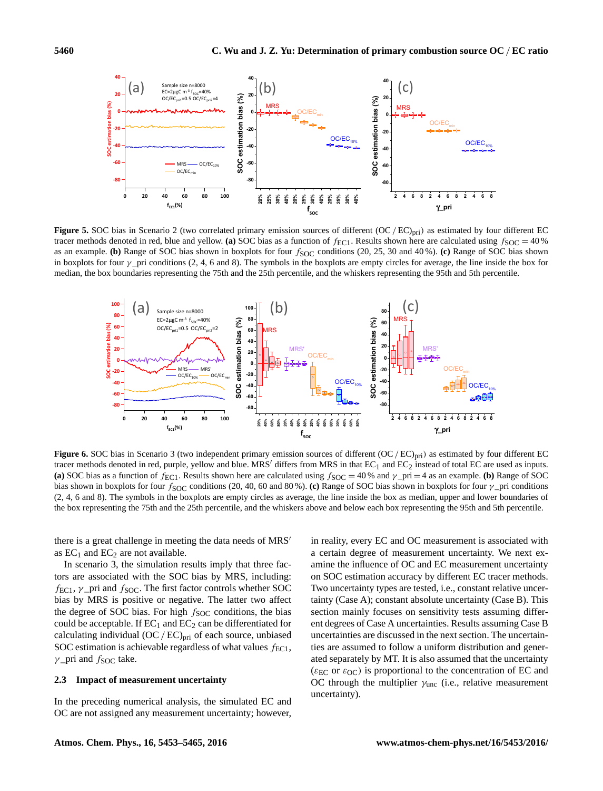

as an example. **(b)** Range of SOC bias shown in boxplots for four  $f_{SOC}$  conditions (20, 25, 30 and 40 %). **(c)** Range of SOC bias shown is an example. **(b)** Range of SOC bias shown in boxplots for four  $f_{SOC}$  condition Figure 5. SOC bias in Scenario 2 (two correlated primary emission sources of different (OC/EC)<sub>pri</sub>) as estimated by four different EC tracer methods denoted in red, blue and yellow. **(a)** SOC bias as a function of  $f_{\text{EC1}}$ . Results shown here are calculated using  $f_{\text{SOC}} = 40\%$ in boxplots for four  $\gamma$  pri conditions (2, 4, 6 and 8). The symbols in the boxplots are empty circles for average, the line inside the box for median, the box boundaries representing the 75th and the 25th percentile, and the whiskers representing the 95th and 5th percentile.



**Figure 6.** SOC bias in Scenario 3 (two independent primary emission sources of different (OC/EC)<sub>pri</sub>) as estimated by four different EC tracer methods denoted in red, purple, yellow and blue. MRS' differs from MRS in that  $EC_1$  and  $EC_2$  instead of total EC are used as inputs. (a) SOC bias as a function of  $f_{\text{EC1}}$ . Results shown here are calculated using  $f_{\text{SOC}} = 40\%$  and  $\gamma_{\text{err}} = 4$  as an example. (b) Range of SOC bias shown in boxplots for four fSOC conditions (20, 40, 60 and 80 %). **(c)** Range of SOC bias shown in boxplots for four γ \_pri conditions (2, 4, 6 and 8). The symbols in the boxplots are empty circles as average, the line inside the box as median, upper and lower boundaries of the box representing the 75th and the 25th percentile, and the whiskers above and below each box representing the 95th and 5th percentile.

there is a great challenge in meeting the data needs of MRS<sup>'</sup> as  $EC_1$  and  $EC_2$  are not available.

In scenario 3, the simulation results imply that three factors are associated with the SOC bias by MRS, including:  $f_{\text{EC1}}$ ,  $\gamma$  pri and  $f_{\text{SOC}}$ . The first factor controls whether SOC bias by MRS is positive or negative. The latter two affect the degree of SOC bias. For high  $f<sub>SOC</sub>$  conditions, the bias could be acceptable. If  $EC_1$  and  $EC_2$  can be differentiated for calculating individual  $(OC/EC)_{pri}$  of each source, unbiased SOC estimation is achievable regardless of what values  $f_{EC1}$ ,  $\gamma$  \_pri and  $f_{\text{SOC}}$  take.

## **2.3 Impact of measurement uncertainty**

In the preceding numerical analysis, the simulated EC and OC are not assigned any measurement uncertainty; however, in reality, every EC and OC measurement is associated with a certain degree of measurement uncertainty. We next examine the influence of OC and EC measurement uncertainty on SOC estimation accuracy by different EC tracer methods. Two uncertainty types are tested, i.e., constant relative uncertainty (Case A); constant absolute uncertainty (Case B). This section mainly focuses on sensitivity tests assuming different degrees of Case A uncertainties. Results assuming Case B uncertainties are discussed in the next section. The uncertainties are assumed to follow a uniform distribution and generated separately by MT. It is also assumed that the uncertainty ( $\epsilon_{EC}$  or  $\epsilon_{OC}$ ) is proportional to the concentration of EC and OC through the multiplier  $\gamma_{\text{unc}}$  (i.e., relative measurement uncertainty).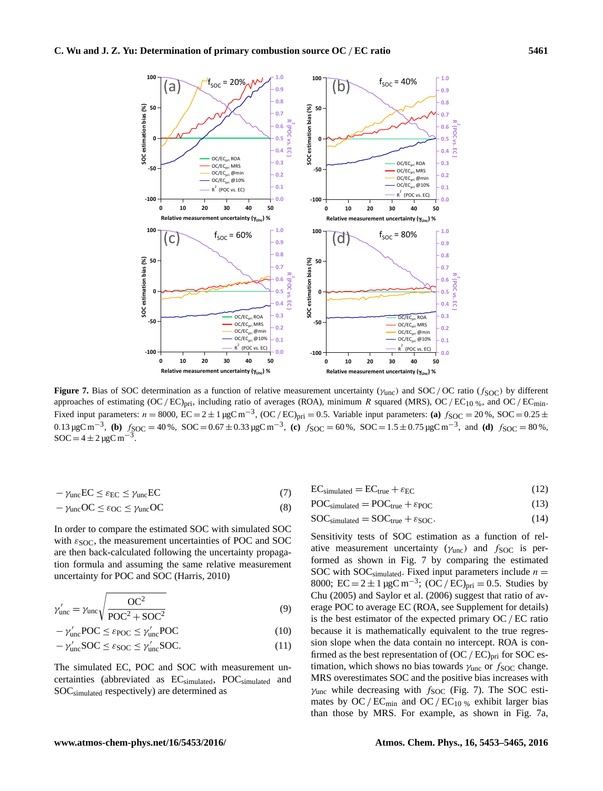

approaches of estimating  $(OC/EC)_{pri}$ , including ratio of averages (ROA), minimum R squared (MRS),  $OC/EC_{10\%}$ , and  $OC/EC_{min}$ . **Figure 7.** Bias of SOC determination as a function of relative measurement uncertainty ( $\gamma_{\text{unc}}$ ) and SOC/OC ratio ( $f_{\text{SOC}}$ ) by different Fixed input parameters:  $n = 8000$ ,  $\text{EC} = 2 \pm 1 \,\mu\text{g}$ C m<sup>-3</sup>,  $(\text{OC}/\text{EC})$ <sub>pri</sub> = 0.5. Variable input parameters: **(a)**  $f_{\text{SOC}} = 20\%$ ,  $\text{SOC} = 0.25 \pm 10^{-3}$  $0.13 \mu$ gC m<sup>-3</sup>, **(b)**  $f_{SOC} = 40 \%$ , SOC = 0.67 ± 0.33 μgC m<sup>-3</sup>, **(c)**  $f_{SOC} = 60 \%$ , SOC = 1.5 ± 0.75 μgC m<sup>-3</sup>, and **(d)**  $f_{SOC} = 80 \%$ ,  $SOC = 4 \pm 2 \mu gC m$ <sup>-3</sup> .

$$
-\gamma_{\rm unc}EC \le \varepsilon_{\rm EC} \le \gamma_{\rm unc}EC\tag{7}
$$

$$
-\gamma_{\rm unc}OC \le \varepsilon_{\rm OC} \le \gamma_{\rm unc}OC \tag{8}
$$

In order to compare the estimated SOC with simulated SOC with  $\varepsilon_{\text{SOC}}$ , the measurement uncertainties of POC and SOC are then back-calculated following the uncertainty propagation formula and assuming the same relative measurement uncertainty for POC and SOC (Harris, 2010)

$$
\gamma'_{\rm unc} = \gamma_{\rm unc} \sqrt{\frac{OC^2}{POC^2 + SOC^2}}
$$
\n(9)

$$
-\gamma'_{\text{unc}} \text{POC} \le \varepsilon_{\text{POC}} \le \gamma'_{\text{unc}} \text{POC} \tag{10}
$$

$$
-\gamma'_{\text{unc}}\text{SOC} \le \varepsilon_{\text{SOC}} \le \gamma'_{\text{unc}}\text{SOC}.\tag{11}
$$

The simulated EC, POC and SOC with measurement uncertainties (abbreviated as ECsimulated, POCsimulated and SOCsimulated respectively) are determined as

$$
EC_{simulated} = EC_{true} + \varepsilon_{EC}
$$
 (12)

 $\text{POC}_{\text{simulated}} = \text{POC}_{\text{true}} + \varepsilon_{\text{POC}}$  (13)

$$
SOCsimulated = SOCtrue + \varepsilonSOC.
$$
 (14)

Sensitivity tests of SOC estimation as a function of relative measurement uncertainty ( $\gamma_{\text{unc}}$ ) and  $f_{\text{SOC}}$  is performed as shown in Fig. 7 by comparing the estimated SOC with SOC<sub>simulated</sub>. Fixed input parameters include  $n =$ 8000; EC =  $2 \pm 1 \mu gC \text{ m}^{-3}$ ; (OC / EC)<sub>pri</sub> = 0.5. Studies by Chu (2005) and Saylor et al. (2006) suggest that ratio of average POC to average EC (ROA, see Supplement for details) is the best estimator of the expected primary OC / EC ratio because it is mathematically equivalent to the true regression slope when the data contain no intercept. ROA is confirmed as the best representation of  $(OC/EC)_{pri}$  for SOC estimation, which shows no bias towards  $\gamma_{\text{unc}}$  or  $f_{\text{SOC}}$  change. MRS overestimates SOC and the positive bias increases with  $\gamma_{\text{unc}}$  while decreasing with  $f_{\text{SOC}}$  (Fig. 7). The SOC estimates by  $OC/EC_{min}$  and  $OC/EC_{10\%}$  exhibit larger bias than those by MRS. For example, as shown in Fig. 7a,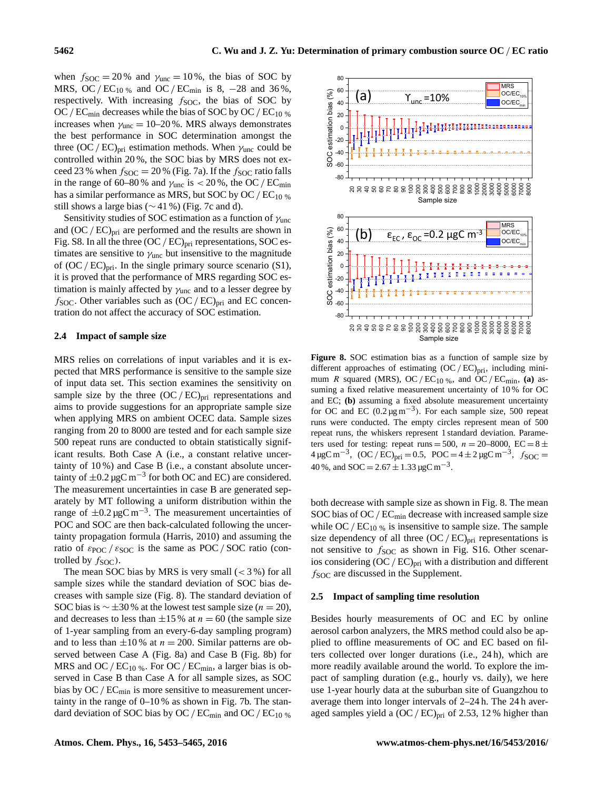when  $f_{\text{SOC}} = 20\%$  and  $\gamma_{\text{unc}} = 10\%$ , the bias of SOC by MRS, OC/ $EC_{10\%}$  and OC/ $EC_{\text{min}}$  is 8, -28 and 36%, respectively. With increasing  $f_{SOC}$ , the bias of SOC by OC /  $EC_{\text{min}}$  decreases while the bias of SOC by OC /  $EC_{10\%}$ increases when  $\gamma_{\text{unc}} = 10{\text -}20\%$ . MRS always demonstrates the best performance in SOC determination amongst the three  $(OC/EC)_{pri}$  estimation methods. When  $\gamma_{unc}$  could be controlled within 20 %, the SOC bias by MRS does not exceed 23 % when  $f_{\text{SOC}} = 20$  % (Fig. 7a). If the  $f_{\text{SOC}}$  ratio falls in the range of 60–80 % and  $\gamma_{\text{unc}}$  is  $<$  20 %, the OC / EC<sub>min</sub> has a similar performance as MRS, but SOC by OC /  $EC_{10\%}$ still shows a large bias ( $\sim$  41 %) (Fig. 7c and d).

Sensitivity studies of SOC estimation as a function of  $\gamma_{\text{unc}}$ and  $(OC/EC)_{pri}$  are performed and the results are shown in Fig. S8. In all the three  $(OC/EC)_{pri}$  representations, SOC estimates are sensitive to  $\gamma_{\text{unc}}$  but insensitive to the magnitude of  $(OC / EC)_{pri}$ . In the single primary source scenario (S1), it is proved that the performance of MRS regarding SOC estimation is mainly affected by  $\gamma_{\text{unc}}$  and to a lesser degree by  $f_{\text{SOC}}$ . Other variables such as  $(\text{OC}/\text{EC})_{\text{pri}}$  and EC concentration do not affect the accuracy of SOC estimation.

## **2.4 Impact of sample size**

MRS relies on correlations of input variables and it is expected that MRS performance is sensitive to the sample size of input data set. This section examines the sensitivity on sample size by the three  $(OC/EC)_{pri}$  representations and aims to provide suggestions for an appropriate sample size when applying MRS on ambient OCEC data. Sample sizes ranging from 20 to 8000 are tested and for each sample size 500 repeat runs are conducted to obtain statistically significant results. Both Case A (i.e., a constant relative uncertainty of 10 %) and Case B (i.e., a constant absolute uncertainty of  $\pm 0.2 \mu g C m^{-3}$  for both OC and EC) are considered. The measurement uncertainties in case B are generated separately by MT following a uniform distribution within the range of  $\pm 0.2 \,\mu$ gC m<sup>-3</sup>. The measurement uncertainties of POC and SOC are then back-calculated following the uncertainty propagation formula (Harris, 2010) and assuming the ratio of  $\varepsilon_{\text{POC}}$  /  $\varepsilon_{\text{SOC}}$  is the same as POC / SOC ratio (controlled by  $f_{\text{SOC}}$ ).

The mean SOC bias by MRS is very small  $(< 3\%$ ) for all sample sizes while the standard deviation of SOC bias decreases with sample size (Fig. 8). The standard deviation of SOC bias is  $\sim \pm 30$ % at the lowest test sample size (*n* = 20), and decreases to less than  $\pm 15$ % at  $n = 60$  (the sample size of 1-year sampling from an every-6-day sampling program) and to less than  $\pm 10\%$  at  $n = 200$ . Similar patterns are observed between Case A (Fig. 8a) and Case B (Fig. 8b) for MRS and OC/ $EC_{10}$ %. For OC/ $EC_{\text{min}}$ , a larger bias is observed in Case B than Case A for all sample sizes, as SOC bias by  $OC / EC<sub>min</sub>$  is more sensitive to measurement uncertainty in the range of 0–10 % as shown in Fig. 7b. The standard deviation of SOC bias by OC /  $EC<sub>min</sub>$  and OC /  $EC<sub>10</sub>$  %



**Figure 8.** SOC estimation bias as a function of sample size by different approaches of estimating  $(OC/EC)_{pri}$ , including minimum R squared (MRS), OC /  $EC_{10\%}$ , and OC /  $EC_{\text{min}}$ , **(a)** assuming a fixed relative measurement uncertainty of 10 % for OC and EC; **(b)** assuming a fixed absolute measurement uncertainty for OC and EC  $(0.2 \mu g m^{-3})$ . For each sample size, 500 repeat runs were conducted. The empty circles represent mean of 500 repeat runs, the whiskers represent 1 standard deviation. Parameters used for testing: repeat runs = 500,  $n = 20-8000$ , EC =  $8 \pm$  $4 \mu g C m^{-3}$ , (OC / EC)<sub>pri</sub> = 0.5, POC =  $4 \pm 2 \mu g C m^{-3}$ ,  $f_{SOC}$  = 40 %, and SOC =  $2.67 \pm 1.33 \,\mu$ gC m<sup>-3</sup>.

both decrease with sample size as shown in Fig. 8. The mean SOC bias of OC /  $EC_{min}$  decrease with increased sample size while OC /  $EC_{10\%}$  is insensitive to sample size. The sample size dependency of all three  $(OC/EC)_{pri}$  representations is not sensitive to  $f_{SOC}$  as shown in Fig. S16. Other scenarios considering  $(OC/EC)_{pri}$  with a distribution and different  $f<sub>SOC</sub>$  are discussed in the Supplement.

#### **2.5 Impact of sampling time resolution**

Besides hourly measurements of OC and EC by online aerosol carbon analyzers, the MRS method could also be applied to offline measurements of OC and EC based on filters collected over longer durations (i.e., 24 h), which are more readily available around the world. To explore the impact of sampling duration (e.g., hourly vs. daily), we here use 1-year hourly data at the suburban site of Guangzhou to average them into longer intervals of 2–24 h. The 24 h averaged samples yield a  $(OC/EC)_{pri}$  of 2.53, 12% higher than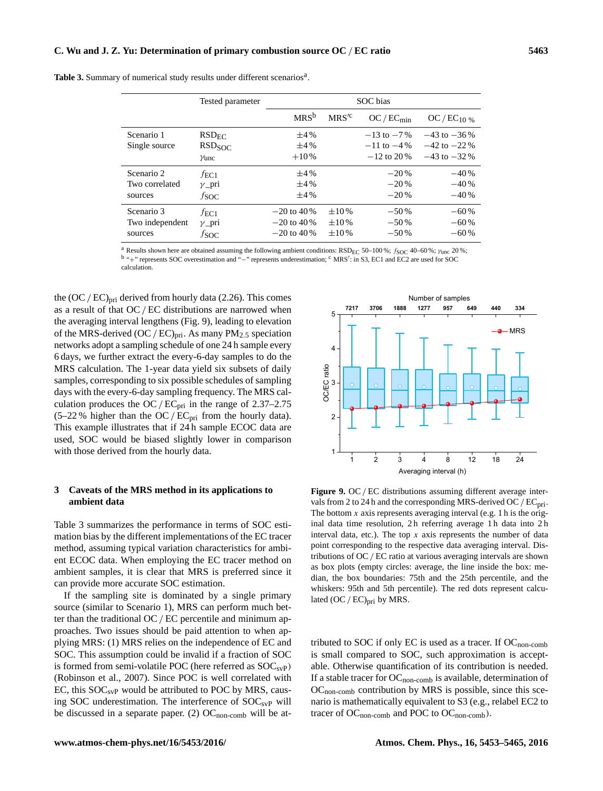|                 | Tested parameter   | SOC bias      |                  |                 |                  |
|-----------------|--------------------|---------------|------------------|-----------------|------------------|
|                 |                    | $MRS^b$       | MRS <sup>2</sup> | $OC/EC_{min}$   | $OC/EC_{10\%}$   |
| Scenario 1      | RSD <sub>FC</sub>  | $\pm 4\%$     |                  | $-13$ to $-7\%$ | $-43$ to $-36\%$ |
| Single source   | RSD <sub>SOC</sub> | $\pm 4\%$     |                  | $-11$ to $-4\%$ | $-42$ to $-22\%$ |
|                 | $\gamma$ unc       | $+10\%$       |                  | $-12$ to 20 %   | $-43$ to $-32\%$ |
| Scenario 2      | $f_{\rm EC1}$      | $\pm 4\%$     |                  | $-20%$          | $-40%$           |
| Two correlated  | $\nu$ _pri         | $\pm 4\%$     |                  | $-20%$          | $-40%$           |
| sources         | $f_{\rm SOC}$      | $\pm 4\%$     |                  | $-20%$          | $-40%$           |
| Scenario 3      | $f_{\rm EC1}$      | $-20$ to 40 % | $\pm 10\%$       | $-50%$          | $-60%$           |
| Two independent | $\gamma$ _pri      | $-20$ to 40 % | $\pm 10\%$       | $-50%$          | $-60%$           |
| sources         | $f_{\rm SOC}$      | $-20$ to 40 % | $\pm 10\%$       | $-50%$          | $-60%$           |

Table 3. Summary of numerical study results under different scenarios<sup>a</sup>.

<sup>a</sup> Results shown here are obtained assuming the following ambient conditions: RSD<sub>EC</sub> 50-100%;  $f_{\text{SOC}}$  40-60%;  $\gamma_{\text{unc}}$  20%; <sup>b</sup> "+" represents SOC overestimation and "−" represents underestimation; <sup>c</sup> MRS': in S3, EC1 and EC2 are used for SOC calculation.

the  $(OC / EC)_{pri}$  derived from hourly data (2.26). This comes as a result of that OC / EC distributions are narrowed when the averaging interval lengthens (Fig. 9), leading to elevation of the MRS-derived  $(OC / EC)_{pri}$ . As many PM<sub>2.5</sub> speciation networks adopt a sampling schedule of one 24 h sample every 6 days, we further extract the every-6-day samples to do the MRS calculation. The 1-year data yield six subsets of daily samples, corresponding to six possible schedules of sampling days with the every-6-day sampling frequency. The MRS calculation produces the OC /  $EC_{pri}$  in the range of 2.37–2.75 (5–22 % higher than the OC /  $EC_{pri}$  from the hourly data). This example illustrates that if 24 h sample ECOC data are used, SOC would be biased slightly lower in comparison with those derived from the hourly data.

# **3 Caveats of the MRS method in its applications to ambient data**

Table 3 summarizes the performance in terms of SOC estimation bias by the different implementations of the EC tracer method, assuming typical variation characteristics for ambient ECOC data. When employing the EC tracer method on ambient samples, it is clear that MRS is preferred since it can provide more accurate SOC estimation.

If the sampling site is dominated by a single primary source (similar to Scenario 1), MRS can perform much better than the traditional OC / EC percentile and minimum approaches. Two issues should be paid attention to when applying MRS: (1) MRS relies on the independence of EC and SOC. This assumption could be invalid if a fraction of SOC is formed from semi-volatile POC (here referred as  $SOC_{sVP}$ ) (Robinson et al., 2007). Since POC is well correlated with EC, this  $SOC<sub>svP</sub>$  would be attributed to POC by MRS, causing SOC underestimation. The interference of  $SOC<sub>svP</sub>$  will be discussed in a separate paper. (2)  $OC_{\text{non-comb}}$  will be at-



Figure 9. OC / EC distributions assuming different average intervals from 2 to 24 h and the corresponding MRS-derived OC /  $EC_{\text{pri}}$ . The bottom  $x$  axis represents averaging interval (e.g. 1 h is the original data time resolution, 2 h referring average 1 h data into 2 h interval data, etc.). The top  $x$  axis represents the number of data point corresponding to the respective data averaging interval. Distributions of OC/ EC ratio at various averaging intervals are shown as box plots (empty circles: average, the line inside the box: median, the box boundaries: 75th and the 25th percentile, and the whiskers: 95th and 5th percentile). The red dots represent calculated (OC / EC)<sub>pri</sub> by MRS.

tributed to SOC if only EC is used as a tracer. If  $OC_{\text{non-comb}}$ is small compared to SOC, such approximation is acceptable. Otherwise quantification of its contribution is needed. If a stable tracer for  $OC_{\text{non-comb}}$  is available, determination of OCnon-comb contribution by MRS is possible, since this scenario is mathematically equivalent to S3 (e.g., relabel EC2 to tracer of  $OC_{non-comb}$  and POC to  $OC_{non-comb}$ ).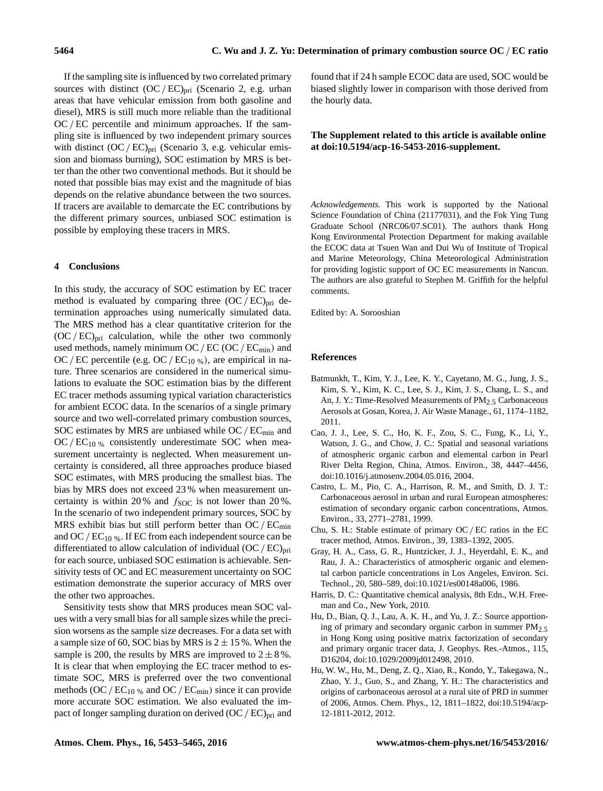If the sampling site is influenced by two correlated primary sources with distinct  $(OC/EC)_{pri}$  (Scenario 2, e.g. urban areas that have vehicular emission from both gasoline and diesel), MRS is still much more reliable than the traditional  $OC/EC$  percentile and minimum approaches. If the sampling site is influenced by two independent primary sources with distinct  $(OC/EC)_{pri}$  (Scenario 3, e.g. vehicular emission and biomass burning), SOC estimation by MRS is better than the other two conventional methods. But it should be noted that possible bias may exist and the magnitude of bias depends on the relative abundance between the two sources. If tracers are available to demarcate the EC contributions by the different primary sources, unbiased SOC estimation is possible by employing these tracers in MRS.

## **4 Conclusions**

In this study, the accuracy of SOC estimation by EC tracer method is evaluated by comparing three  $(OC/EC)_{pri}$  determination approaches using numerically simulated data. The MRS method has a clear quantitative criterion for the  $(OC/EC)_{pri}$  calculation, while the other two commonly used methods, namely minimum OC /  $EC$  (OC /  $EC<sub>min</sub>$ ) and OC/EC percentile (e.g. OC/ $EC_{10\%}$ ), are empirical in nature. Three scenarios are considered in the numerical simulations to evaluate the SOC estimation bias by the different EC tracer methods assuming typical variation characteristics for ambient ECOC data. In the scenarios of a single primary source and two well-correlated primary combustion sources, SOC estimates by MRS are unbiased while  $OC / EC<sub>min</sub>$  and  $OC/EC_{10\%}$  consistently underestimate SOC when measurement uncertainty is neglected. When measurement uncertainty is considered, all three approaches produce biased SOC estimates, with MRS producing the smallest bias. The bias by MRS does not exceed 23 % when measurement uncertainty is within 20% and  $f_{\text{SOC}}$  is not lower than 20%. In the scenario of two independent primary sources, SOC by MRS exhibit bias but still perform better than  $OC/EC_{min}$ and OC /  $EC_{10\%}$ . If EC from each independent source can be differentiated to allow calculation of individual  $(OC/EC)_{pri}$ for each source, unbiased SOC estimation is achievable. Sensitivity tests of OC and EC measurement uncertainty on SOC estimation demonstrate the superior accuracy of MRS over the other two approaches.

Sensitivity tests show that MRS produces mean SOC values with a very small bias for all sample sizes while the precision worsens as the sample size decreases. For a data set with a sample size of 60, SOC bias by MRS is  $2 \pm 15$ %. When the sample is 200, the results by MRS are improved to  $2 \pm 8$ %. It is clear that when employing the EC tracer method to estimate SOC, MRS is preferred over the two conventional methods (OC /  $EC_{10}$  % and OC /  $EC_{min}$ ) since it can provide more accurate SOC estimation. We also evaluated the impact of longer sampling duration on derived  $(OC/EC)_{pri}$  and

found that if 24 h sample ECOC data are used, SOC would be biased slightly lower in comparison with those derived from the hourly data.

# **The Supplement related to this article is available online at [doi:10.5194/acp-16-5453-2016-supplement.](http://dx.doi.org/10.5194/acp-16-5453-2016-supplement)**

*Acknowledgements.* This work is supported by the National Science Foundation of China (21177031), and the Fok Ying Tung Graduate School (NRC06/07.SC01). The authors thank Hong Kong Environmental Protection Department for making available the ECOC data at Tsuen Wan and Dui Wu of Institute of Tropical and Marine Meteorology, China Meteorological Administration for providing logistic support of OC EC measurements in Nancun. The authors are also grateful to Stephen M. Griffith for the helpful comments.

Edited by: A. Sorooshian

## **References**

- Batmunkh, T., Kim, Y. J., Lee, K. Y., Cayetano, M. G., Jung, J. S., Kim, S. Y., Kim, K. C., Lee, S. J., Kim, J. S., Chang, L. S., and An, J. Y.: Time-Resolved Measurements of PM $_2$  5 Carbonaceous Aerosols at Gosan, Korea, J. Air Waste Manage., 61, 1174–1182, 2011.
- Cao, J. J., Lee, S. C., Ho, K. F., Zou, S. C., Fung, K., Li, Y., Watson, J. G., and Chow, J. C.: Spatial and seasonal variations of atmospheric organic carbon and elemental carbon in Pearl River Delta Region, China, Atmos. Environ., 38, 4447–4456, doi[:10.1016/j.atmosenv.2004.05.016,](http://dx.doi.org/10.1016/j.atmosenv.2004.05.016) 2004.
- Castro, L. M., Pio, C. A., Harrison, R. M., and Smith, D. J. T.: Carbonaceous aerosol in urban and rural European atmospheres: estimation of secondary organic carbon concentrations, Atmos. Environ., 33, 2771–2781, 1999.
- Chu, S. H.: Stable estimate of primary OC/ EC ratios in the EC tracer method, Atmos. Environ., 39, 1383–1392, 2005.
- Gray, H. A., Cass, G. R., Huntzicker, J. J., Heyerdahl, E. K., and Rau, J. A.: Characteristics of atmospheric organic and elemental carbon particle concentrations in Los Angeles, Environ. Sci. Technol., 20, 580–589, doi[:10.1021/es00148a006,](http://dx.doi.org/10.1021/es00148a006) 1986.
- Harris, D. C.: Quantitative chemical analysis, 8th Edn., W.H. Freeman and Co., New York, 2010.
- Hu, D., Bian, Q. J., Lau, A. K. H., and Yu, J. Z.: Source apportioning of primary and secondary organic carbon in summer  $PM<sub>2.5</sub>$ in Hong Kong using positive matrix factorization of secondary and primary organic tracer data, J. Geophys. Res.-Atmos., 115, D16204, doi[:10.1029/2009jd012498,](http://dx.doi.org/10.1029/2009jd012498) 2010.
- Hu, W. W., Hu, M., Deng, Z. Q., Xiao, R., Kondo, Y., Takegawa, N., Zhao, Y. J., Guo, S., and Zhang, Y. H.: The characteristics and origins of carbonaceous aerosol at a rural site of PRD in summer of 2006, Atmos. Chem. Phys., 12, 1811–1822, doi[:10.5194/acp-](http://dx.doi.org/10.5194/acp-12-1811-2012)[12-1811-2012,](http://dx.doi.org/10.5194/acp-12-1811-2012) 2012.